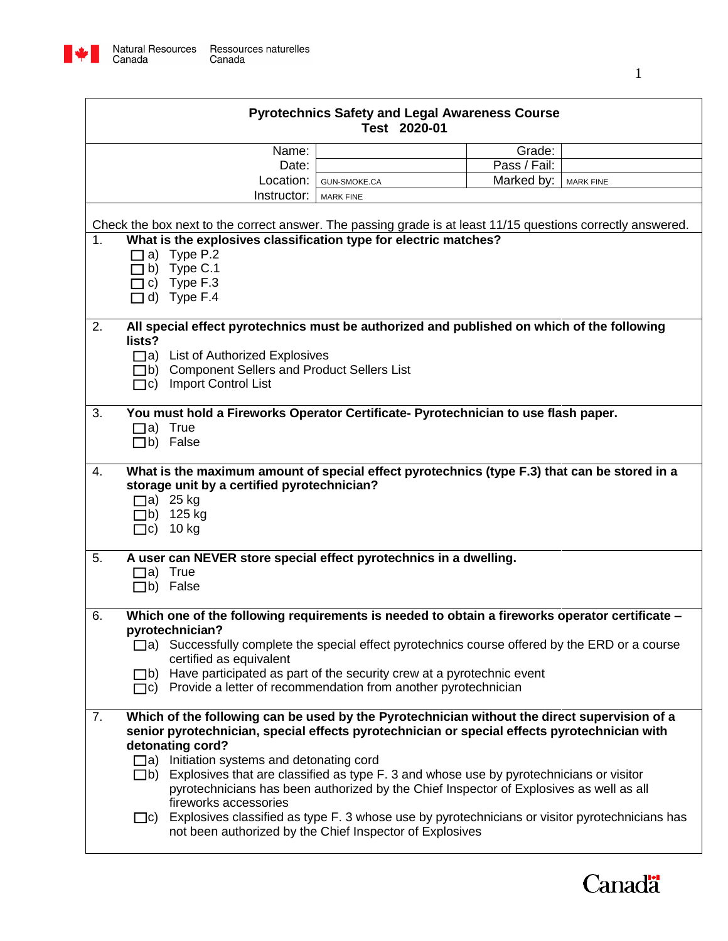

| <b>Pyrotechnics Safety and Legal Awareness Course</b><br>Test 2020-01 |                     |              |                  |  |
|-----------------------------------------------------------------------|---------------------|--------------|------------------|--|
| Name:                                                                 |                     | Grade:       |                  |  |
| Date:                                                                 |                     | Pass / Fail: |                  |  |
| Location:                                                             | <b>GUN-SMOKE.CA</b> | Marked by:   | <b>MARK FINE</b> |  |
| Instructor:                                                           | <b>MARK FINE</b>    |              |                  |  |
| orrect answer. The passing grade is at least 11/15 questions correc   |                     |              |                  |  |
| es classification type for electric matches?                          |                     |              |                  |  |

|    | <b>Instructor:</b> MARK FINE                                                                                                                                         |
|----|----------------------------------------------------------------------------------------------------------------------------------------------------------------------|
|    |                                                                                                                                                                      |
|    | Check the box next to the correct answer. The passing grade is at least 11/15 questions correctly answered.                                                          |
| 1. | What is the explosives classification type for electric matches?                                                                                                     |
|    | a) Type P.2                                                                                                                                                          |
|    | b) Type $C.1$                                                                                                                                                        |
|    | $\Box$ c) Type F.3                                                                                                                                                   |
|    | $\Box$ d) Type F.4                                                                                                                                                   |
| 2. | All special effect pyrotechnics must be authorized and published on which of the following                                                                           |
|    | lists?                                                                                                                                                               |
|    | □a) List of Authorized Explosives                                                                                                                                    |
|    | □b) Component Sellers and Product Sellers List                                                                                                                       |
|    | □c) Import Control List                                                                                                                                              |
|    |                                                                                                                                                                      |
| 3. | You must hold a Fireworks Operator Certificate- Pyrotechnician to use flash paper.                                                                                   |
|    | $\Box$ a) True                                                                                                                                                       |
|    | $\Box$ b) False                                                                                                                                                      |
| 4. |                                                                                                                                                                      |
|    | What is the maximum amount of special effect pyrotechnics (type F.3) that can be stored in a<br>storage unit by a certified pyrotechnician?                          |
|    | $\Box$ a) 25 kg                                                                                                                                                      |
|    | $\Box$ b) 125 kg                                                                                                                                                     |
|    |                                                                                                                                                                      |
|    |                                                                                                                                                                      |
|    | $\Box$ c) 10 kg                                                                                                                                                      |
| 5. | A user can NEVER store special effect pyrotechnics in a dwelling.                                                                                                    |
|    | $\Box$ a) True                                                                                                                                                       |
|    | □b) False                                                                                                                                                            |
|    |                                                                                                                                                                      |
| 6. | Which one of the following requirements is needed to obtain a fireworks operator certificate -                                                                       |
|    | pyrotechnician?                                                                                                                                                      |
|    | $\Box$ a) Successfully complete the special effect pyrotechnics course offered by the ERD or a course                                                                |
|    | certified as equivalent                                                                                                                                              |
|    | b) Have participated as part of the security crew at a pyrotechnic event                                                                                             |
|    | $\Box$ c) Provide a letter of recommendation from another pyrotechnician                                                                                             |
| 7. | Which of the following can be used by the Pyrotechnician without the direct supervision of a                                                                         |
|    | senior pyrotechnician, special effects pyrotechnician or special effects pyrotechnician with                                                                         |
|    | detonating cord?                                                                                                                                                     |
|    | $\Box$ a) Initiation systems and detonating cord                                                                                                                     |
|    | $\Box$ b) Explosives that are classified as type F. 3 and whose use by pyrotechnicians or visitor                                                                    |
|    | pyrotechnicians has been authorized by the Chief Inspector of Explosives as well as all                                                                              |
|    | fireworks accessories                                                                                                                                                |
|    | $\Box$ c) Explosives classified as type F. 3 whose use by pyrotechnicians or visitor pyrotechnicians has<br>not been authorized by the Chief Inspector of Explosives |